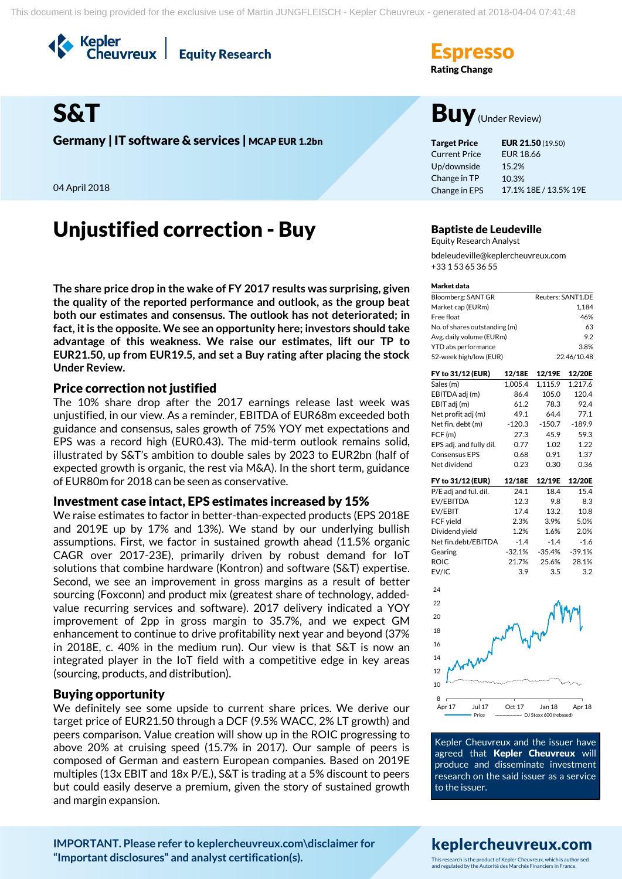Kepler<br>Cheuvreux Equity Research

Germany | IT software  $\&$  services | MCAP EUR 1.2bn

04 April 2018

## Unjustified correction - Buy Baptiste de Leudeville

**The share price drop in the wake of FY 2017 results was surprising, given the quality of the reported performance and outlook, as the group beat both our estimates and consensus. The outlook has not deteriorated; in fact, it is the opposite. We see an opportunity here; investors should take advantage of this weakness. We raise our estimates, lift our TP to EUR21.50, up from EUR19.5, and set a Buy rating after placing the stock Under Review.**

### Price correction not justified

The 10% share drop after the 2017 earnings release last week was unjustified, in our view. As a reminder, EBITDA of EUR68m exceeded both guidance and consensus, sales growth of 75% YOY met expectations and EPS was a record high (EUR0.43). The mid-term outlook remains solid, illustrated by S&T's ambition to double sales by 2023 to EUR2bn (half of expected growth is organic, the rest via M&A). In the short term, guidance of EUR80m for 2018 can be seen as conservative.

### Investment case intact, EPS estimates increased by 15%

We raise estimates to factor in better-than-expected products (EPS 2018E and 2019E up by 17% and 13%). We stand by our underlying bullish assumptions. First, we factor in sustained growth ahead (11.5% organic CAGR over 2017-23E), primarily driven by robust demand for IoT solutions that combine hardware (Kontron) and software (S&T) expertise. Second, we see an improvement in gross margins as a result of better sourcing (Foxconn) and product mix (greatest share of technology, addedvalue recurring services and software). 2017 delivery indicated a YOY improvement of 2pp in gross margin to 35.7%, and we expect GM enhancement to continue to drive profitability next year and beyond (37% in 2018E, c. 40% in the medium run). Our view is that S&T is now an integrated player in the IoT field with a competitive edge in key areas (sourcing, products, and distribution).

## Buying opportunity

We definitely see some upside to current share prices. We derive our target price of EUR21.50 through a DCF (9.5% WACC, 2% LT growth) and peers comparison. Value creation will show up in the ROIC progressing to above 20% at cruising speed (15.7% in 2017). Our sample of peers is composed of German and eastern European companies. Based on 2019E multiples (13x EBIT and 18x P/E.), S&T is trading at a 5% discount to peers but could easily deserve a premium, given the story of sustained growth and margin expansion.



S&T Buy (Under Review)

| <b>Target Price</b>  | EUR 21.50 (19.50)     |
|----------------------|-----------------------|
| <b>Current Price</b> | <b>EUR 18.66</b>      |
| Up/downside          | 15.2%                 |
| Change in TP         | 10.3%                 |
| Change in EPS        | 17.1% 18E / 13.5% 19E |

Equity Research Analyst bdeleudeville@keplercheuvreux.com +33 1 53 65 36 55

### Market data

| Bloomberg: SANT GR            | Reuters: SANT1.DE |
|-------------------------------|-------------------|
| Market cap (EURm)             | 1.184             |
| Free float                    | 46%               |
| No. of shares outstanding (m) | 63                |
| Avg. daily volume (EURm)      | 92                |
| YTD abs performance           | 3.8%              |
| 52-week high/low (EUR)        | 22.46/10.48       |

| FY to 31/12 (EUR)       | 12/18E   | 12/19E   | 12/20E   |
|-------------------------|----------|----------|----------|
| Sales (m)               | 1,005.4  | 1,115.9  | 1,217.6  |
| EBITDA adj (m)          | 86.4     | 105.0    | 120.4    |
| EBIT adj (m)            | 61.2     | 78.3     | 92.4     |
| Net profit adj (m)      | 49.1     | 64.4     | 77.1     |
| Net fin. debt (m)       | $-120.3$ | $-150.7$ | $-189.9$ |
| FCF (m)                 | 27.3     | 45.9     | 59.3     |
| EPS adj. and fully dil. | 0.77     | 1.02     | 1.22     |
| <b>Consensus EPS</b>    | 0.68     | 0.91     | 1.37     |
| Net dividend            | 0.23     | 0.30     | 0.36     |
| FY to 31/12 (EUR)       | 12/18E   | 12/19E   | 12/20E   |
| P/E adj and ful. dil.   | 24.1     | 18.4     | 15.4     |
| EV/EBITDA               | 12.3     | 9.8      | 8.3      |
| EV/EBIT                 | 17.4     | 13.2     | 10.8     |
| FCF yield               | 2.3%     | 3.9%     | 5.0%     |
| Dividend yield          | 1.2%     | 1.6%     | 2.0%     |
| Net fin.debt/EBITDA     | $-1.4$   | $-1.4$   | $-1.6$   |
| Gearing                 | $-32.1%$ | $-35.4%$ | $-39.1%$ |
| <b>ROIC</b>             | 21.7%    | 25.6%    | 28.1%    |
| EV/IC                   | 3.9      | 3.5      | 3.2      |
| 24                      |          |          |          |
| 22                      |          |          |          |
| 20                      |          |          |          |
| 18                      |          |          |          |
| 16                      |          |          |          |
| 14                      |          |          |          |
| 12                      |          |          |          |
| 10                      |          |          |          |



Kepler Cheuvreux and the issuer have agreed that Kepler Cheuvreux will produce and disseminate investment research on the said issuer as a service to the issuer.

keplercheuvreux.com

This research is the product of Kepler Cheuvreux, which is authorised and regulated by the Autorité des Marchés Financiers in France.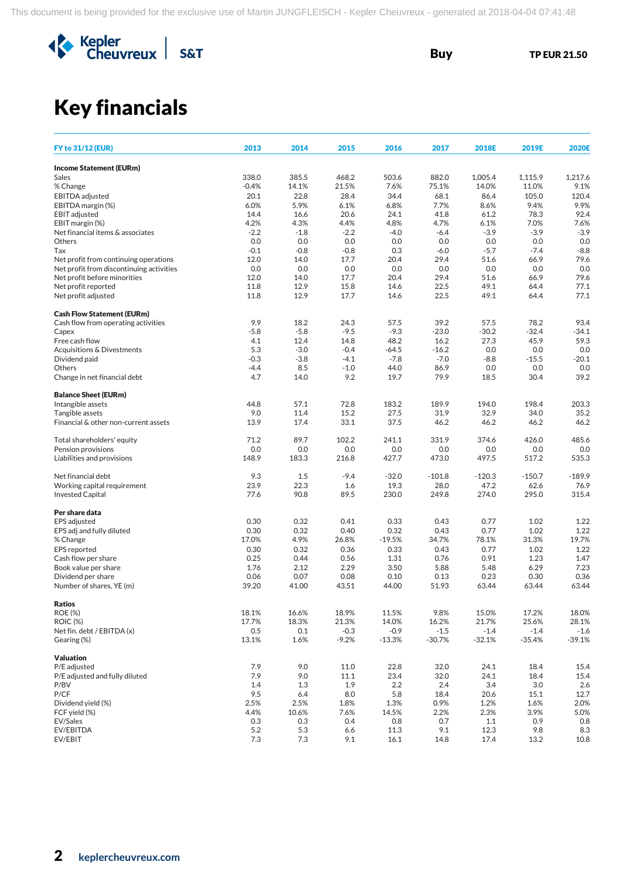

# Key financials

| <b>FY to 31/12 (EUR)</b>                            | 2013           | 2014           | 2015           | 2016             | 2017            | 2018E          | 2019E          | <b>2020E</b>   |
|-----------------------------------------------------|----------------|----------------|----------------|------------------|-----------------|----------------|----------------|----------------|
| <b>Income Statement (EURm)</b>                      |                |                |                |                  |                 |                |                |                |
| Sales                                               | 338.0          | 385.5          | 468.2          | 503.6            | 882.0           | 1,005.4        | 1,115.9        | 1,217.6        |
| % Change                                            | $-0.4%$        | 14.1%          | 21.5%          | 7.6%             | 75.1%           | 14.0%          | 11.0%          | 9.1%           |
| <b>EBITDA</b> adjusted                              | 20.1           | 22.8           | 28.4           | 34.4             | 68.1            | 86.4           | 105.0          | 120.4          |
| EBITDA margin (%)                                   | 6.0%           | 5.9%           | 6.1%           | 6.8%             | 7.7%            | 8.6%           | 9.4%           | 9.9%           |
| <b>EBIT</b> adjusted                                | 14.4           | 16.6           | 20.6           | 24.1             | 41.8            | 61.2           | 78.3           | 92.4           |
| EBIT margin (%)<br>Net financial items & associates | 4.2%<br>$-2.2$ | 4.3%<br>$-1.8$ | 4.4%<br>$-2.2$ | 4.8%<br>$-4.0$   | 4.7%<br>$-6.4$  | 6.1%<br>$-3.9$ | 7.0%<br>$-3.9$ | 7.6%<br>$-3.9$ |
| Others                                              | 0.0            | 0.0            | 0.0            | 0.0              | 0.0             | 0.0            | 0.0            | 0.0            |
| Tax                                                 | $-0.1$         | $-0.8$         | $-0.8$         | 0.3              | $-6.0$          | $-5.7$         | $-7.4$         | $-8.8$         |
| Net profit from continuing operations               | 12.0           | 14.0           | 17.7           | 20.4             | 29.4            | 51.6           | 66.9           | 79.6           |
| Net profit from discontinuing activities            | 0.0            | 0.0            | 0.0            | 0.0              | 0.0             | 0.0            | 0.0            | 0.0            |
| Net profit before minorities                        | 12.0           | 14.0           | 17.7           | 20.4             | 29.4            | 51.6           | 66.9           | 79.6           |
| Net profit reported                                 | 11.8           | 12.9           | 15.8           | 14.6             | 22.5            | 49.1           | 64.4           | 77.1           |
| Net profit adjusted                                 | 11.8           | 12.9           | 17.7           | 14.6             | 22.5            | 49.1           | 64.4           | 77.1           |
| <b>Cash Flow Statement (EURm)</b>                   |                |                |                |                  |                 |                |                |                |
| Cash flow from operating activities                 | 9.9            | 18.2           | 24.3           | 57.5             | 39.2            | 57.5           | 78.2           | 93.4           |
| Capex                                               | $-5.8$         | $-5.8$         | $-9.5$         | $-9.3$           | $-23.0$         | $-30.2$        | $-32.4$        | $-34.1$        |
| Free cash flow<br>Acquisitions & Divestments        | 4.1<br>5.3     | 12.4<br>$-3.0$ | 14.8<br>$-0.4$ | 48.2<br>$-64.5$  | 16.2<br>$-16.2$ | 27.3<br>0.0    | 45.9<br>0.0    | 59.3<br>0.0    |
| Dividend paid                                       | $-0.3$         | $-3.8$         | $-4.1$         | $-7.8$           | $-7.0$          | $-8.8$         | $-15.5$        | $-20.1$        |
| Others                                              | $-4.4$         | 8.5            | $-1.0$         | 44.0             | 86.9            | 0.0            | 0.0            | 0.0            |
| Change in net financial debt                        | 4.7            | 14.0           | 9.2            | 19.7             | 79.9            | 18.5           | 30.4           | 39.2           |
| <b>Balance Sheet (EURm)</b>                         |                |                |                |                  |                 |                |                |                |
| Intangible assets                                   | 44.8           | 57.1           | 72.8           | 183.2            | 189.9           | 194.0          | 198.4          | 203.3          |
| Tangible assets                                     | 9.0            | 11.4           | 15.2           | 27.5             | 31.9            | 32.9           | 34.0           | 35.2           |
| Financial & other non-current assets                | 13.9           | 17.4           | 33.1           | 37.5             | 46.2            | 46.2           | 46.2           | 46.2           |
| Total shareholders' equity                          | 71.2           | 89.7           | 102.2          | 241.1            | 331.9           | 374.6          | 426.0          | 485.6          |
| Pension provisions                                  | 0.0            | 0.0            | 0.0            | 0.0              | 0.0             | 0.0            | 0.0            | 0.0            |
| Liabilities and provisions                          | 148.9          | 183.3          | 216.8          | 427.7            | 473.0           | 497.5          | 517.2          | 535.3          |
| Net financial debt                                  | 9.3            | 1.5            | $-9.4$         | $-32.0$          | $-101.8$        | $-120.3$       | $-150.7$       | $-189.9$       |
| Working capital requirement                         | 23.9           | 22.3           | 1.6            | 19.3             | 28.0            | 47.2           | 62.6           | 76.9           |
| <b>Invested Capital</b>                             | 77.6           | 90.8           | 89.5           | 230.0            | 249.8           | 274.0          | 295.0          | 315.4          |
| Per share data                                      |                |                |                |                  |                 |                |                |                |
| EPS adjusted                                        | 0.30           | 0.32           | 0.41           | 0.33             | 0.43            | 0.77           | 1.02           | 1.22           |
| EPS adj and fully diluted<br>% Change               | 0.30<br>17.0%  | 0.32<br>4.9%   | 0.40<br>26.8%  | 0.32<br>$-19.5%$ | 0.43<br>34.7%   | 0.77<br>78.1%  | 1.02<br>31.3%  | 1.22<br>19.7%  |
| <b>EPS</b> reported                                 | 0.30           | 0.32           | 0.36           | 0.33             | 0.43            | 0.77           | 1.02           | 1.22           |
| Cash flow per share                                 | 0.25           | 0.44           | 0.56           | 1.31             | 0.76            | 0.91           | 1.23           | 1.47           |
| Book value per share                                | 1.76           | 2.12           | 2.29           | 3.50             | 5.88            | 5.48           | 6.29           | 7.23           |
| Dividend per share                                  | 0.06           | 0.07           | 0.08           | 0.10             | 0.13            | 0.23           | 0.30           | 0.36           |
| Number of shares, YE (m)                            | 39.20          | 41.00          | 43.51          | 44.00            | 51.93           | 63.44          | 63.44          | 63.44          |
| Ratios                                              |                |                |                |                  |                 |                |                |                |
| <b>ROE (%)</b>                                      | 18.1%          | 16.6%          | 18.9%          | 11.5%            | 9.8%            | 15.0%          | 17.2%          | 18.0%          |
| <b>ROIC (%)</b>                                     | 17.7%          | 18.3%          | 21.3%          | 14.0%            | 16.2%           | 21.7%          | 25.6%          | 28.1%          |
| Net fin. debt / EBITDA (x)                          | 0.5            | 0.1            | $-0.3$         | $-0.9$           | $-1.5$          | $-1.4$         | $-1.4$         | $-1.6$         |
| Gearing (%)                                         | 13.1%          | 1.6%           | $-9.2%$        | $-13.3%$         | $-30.7%$        | $-32.1%$       | $-35.4%$       | $-39.1%$       |
| <b>Valuation</b>                                    |                |                |                |                  |                 |                |                |                |
| P/E adjusted                                        | 7.9            | 9.0            | 11.0           | 22.8             | 32.0            | 24.1           | 18.4           | 15.4           |
| P/E adjusted and fully diluted                      | 7.9<br>1.4     | 9.0            | 11.1<br>1.9    | 23.4<br>2.2      | 32.0<br>2.4     | 24.1<br>3.4    | 18.4<br>3.0    | 15.4<br>2.6    |
| P/BV<br>P/CF                                        | 9.5            | 1.3<br>6.4     | 8.0            | 5.8              | 18.4            | 20.6           | 15.1           | 12.7           |
| Dividend yield (%)                                  | 2.5%           | 2.5%           | 1.8%           | 1.3%             | 0.9%            | 1.2%           | 1.6%           | 2.0%           |
| FCF yield (%)                                       | 4.4%           | 10.6%          | 7.6%           | 14.5%            | 2.2%            | 2.3%           | 3.9%           | 5.0%           |
| EV/Sales                                            | 0.3            | 0.3            | 0.4            | 0.8              | 0.7             | 1.1            | 0.9            | 0.8            |
| EV/EBITDA                                           | 5.2            | 5.3            | 6.6            | 11.3             | 9.1             | 12.3           | 9.8            | 8.3            |
| EV/EBIT                                             | $7.3\,$        | 7.3            | 9.1            | 16.1             | 14.8            | 17.4           | 13.2           | 10.8           |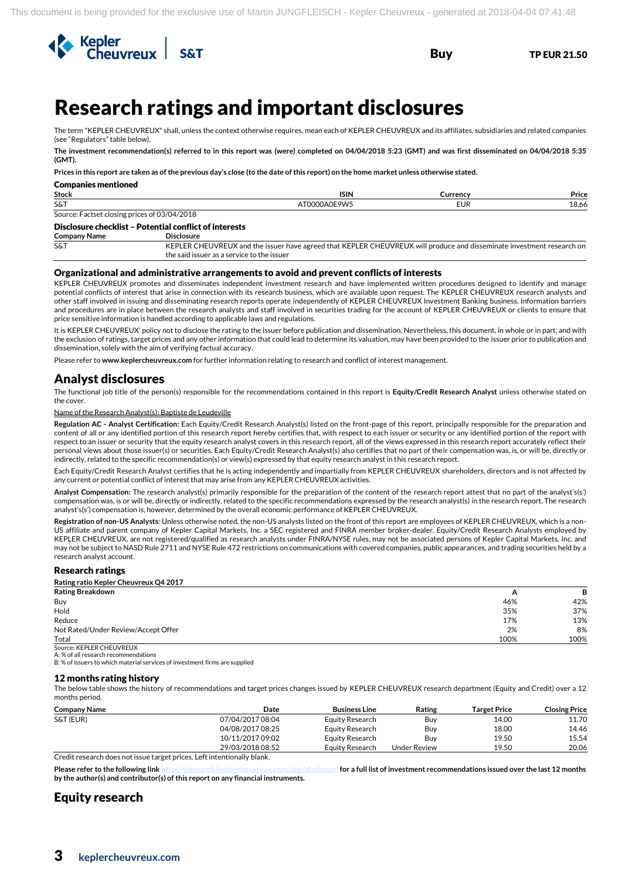

## <sup>3</sup>Research ratings and important disclosures

The term "KEPLER CHEUVREUX" shall, unless the context otherwise requires, mean each of KEPLER CHEUVREUX and its affiliates, subsidiaries and related companies (see "Regulators" table below).

**The investment recommendation(s) referred to in this report was (were) completed on 04/04/2018 5:23 (GMT) and was first disseminated on 04/04/2018 5:35 (GMT).**

**Prices in this report are taken as of the previous day's close (to the date of this report) on the home market unless otherwise stated.**

| Companies mentioned                            |             |                |       |  |  |
|------------------------------------------------|-------------|----------------|-------|--|--|
| Stock                                          | <b>ISIN</b> | <b>Currenc</b> | Price |  |  |
| S&T                                            | ΙΔΩΕ9ΙΜΕ    | LUM            | 18.66 |  |  |
| actset closing prices of 03/04/2018<br>Source: |             |                |       |  |  |

## Disclosure checklist – Potential conflict of interests

**Company Name** 

Companies mentioned

S&T KEPLER CHEUVREUX and the issuer have agreed that KEPLER CHEUVREUX will produce and disseminate investment research on the said issuer as a service to the issuer

#### Organizational and administrative arrangements to avoid and prevent conflicts of interests

KEPLER CHEUVREUX promotes and disseminates independent investment research and have implemented written procedures designed to identify and manage potential conflicts of interest that arise in connection with its research business, which are available upon request. The KEPLER CHEUVREUX research analysts and other staff involved in issuing and disseminating research reports operate independently of KEPLER CHEUVREUX Investment Banking business. Information barriers and procedures are in place between the research analysts and staff involved in securities trading for the account of KEPLER CHEUVREUX or clients to ensure that price sensitive information is handled according to applicable laws and regulations.

It is KEPLER CHEUVREUX' policy not to disclose the rating to the issuer before publication and dissemination. Nevertheless, this document, in whole or in part, and with the exclusion of ratings, target prices and any other information that could lead to determine its valuation, may have been provided to the issuer prior to publication and dissemination, solely with the aim of verifying factual accuracy.

Please refer to **www.keplercheuvreux.com** for further information relating to research and conflict of interest management.

### Analyst disclosures

The functional job title of the person(s) responsible for the recommendations contained in this report is **Equity/Credit Research Analyst** unless otherwise stated on the cover.

#### Name of the Research Analyst(s): Baptiste de Leudeville

**Regulation AC - Analyst Certification:** Each Equity/Credit Research Analyst(s) listed on the front-page of this report, principally responsible for the preparation and content of all or any identified portion of this research report hereby certifies that, with respect to each issuer or security or any identified portion of the report with respect to an issuer or security that the equity research analyst covers in this research report, all of the views expressed in this research report accurately reflect their personal views about those issuer(s) or securities. Each Equity/Credit Research Analyst(s) also certifies that no part of their compensation was, is, or will be, directly or indirectly, related to the specific recommendation(s) or view(s) expressed by that equity research analyst in this research report.

Each Equity/Credit Research Analyst certifies that he is acting independently and impartially from KEPLER CHEUVREUX shareholders, directors and is not affected by any current or potential conflict of interest that may arise from any KEPLER CHEUVREUX activities.

**Analyst Compensation:** The research analyst(s) primarily responsible for the preparation of the content of the research report attest that no part of the analyst's(s') compensation was, is or will be, directly or indirectly, related to the specific recommendations expressed by the research analyst(s) in the research report. The research analyst's(s') compensation is, however, determined by the overall economic performance of KEPLER CHEUVREUX.

**Registration of non-US Analysts**: Unless otherwise noted, the non-US analysts listed on the front of this report are employees of KEPLER CHEUVREUX, which is a non-US affiliate and parent company of Kepler Capital Markets, Inc. a SEC registered and FINRA member broker-dealer. Equity/Credit Research Analysts employed by KEPLER CHEUVREUX, are not registered/qualified as research analysts under FINRA/NYSE rules, may not be associated persons of Kepler Capital Markets, Inc. and may not be subject to NASD Rule 2711 and NYSE Rule 472 restrictions on communications with covered companies, public appearances, and trading securities held by a research analyst account.

#### Research ratings

**Rating ratio Kepler Cheuvreux Q4 2017**

| <b>Rating Breakdown</b>             | $\mathsf{A}$ | в    |
|-------------------------------------|--------------|------|
| Buy                                 | 46%          | 42%  |
| Hold                                | 35%          | 37%  |
| Reduce                              | 17%          | 13%  |
| Not Rated/Under Review/Accept Offer | 2%           | 8%   |
| Total                               | 100%         | 100% |
| Source: KEPLER CHEUVREUX            |              |      |

A: % of all research recommendations

B: % of issuers to which material services of investment firms are supplied

#### 12 months rating history

The below table shows the history of recommendations and target prices changes issued by KEPLER CHEUVREUX research department (Equity and Credit) over a 12 months period.

| <b>Company Name</b> | Date             | <b>Business Line</b> | <b>Rating</b> | Target Price | <b>Closing Price</b> |
|---------------------|------------------|----------------------|---------------|--------------|----------------------|
| S&T (EUR)           | 07/04/2017 08:04 | Equity Research      | Buy           | 14.00        | 11.70                |
|                     | 04/08/2017 08:25 | Equity Research      | Buy           | 18.00        | 14.46                |
|                     | 10/11/2017 09:02 | Equity Research      | Buv           | 19.50        | 15.54                |
|                     | 29/03/2018 08:52 | Equity Research      | Under Review  | 19.50        | 20.06                |
|                     | .                |                      |               |              |                      |

Credit research does not issue target prices. Left intentionally blank.

**Please refer to the following lin[k https://research.keplercheuvreux.com/app/disclosure](https://research.keplercheuvreux.com/app/disclosure/stock/8466) for a full list of investment recommendations issued over the last 12 months by the author(s) and contributor(s) of this report on any financial instruments.**

## Equity research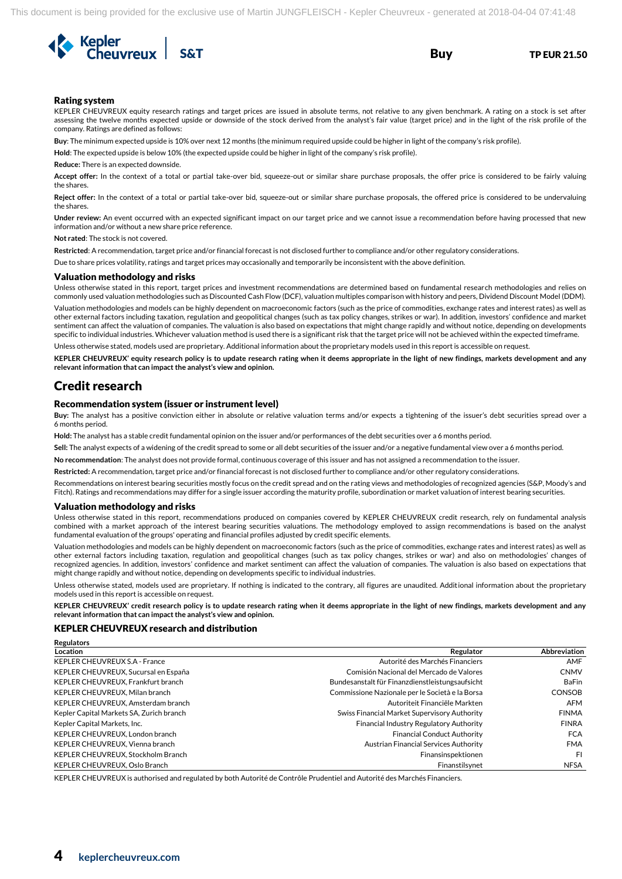

#### Rating system

KEPLER CHEUVREUX equity research ratings and target prices are issued in absolute terms, not relative to any given benchmark. A rating on a stock is set after assessing the twelve months expected upside or downside of the stock derived from the analyst's fair value (target price) and in the light of the risk profile of the company. Ratings are defined as follows:

**Buy**: The minimum expected upside is 10% over next 12 months (the minimum required upside could be higher in light of the company's risk profile).

**Hold**: The expected upside is below 10% (the expected upside could be higher in light of the company's risk profile).

**Reduce:** There is an expected downside.

**Accept offer:** In the context of a total or partial take-over bid, squeeze-out or similar share purchase proposals, the offer price is considered to be fairly valuing the shares.

**Reject offer:** In the context of a total or partial take-over bid, squeeze-out or similar share purchase proposals, the offered price is considered to be undervaluing the shares.

**Under review:** An event occurred with an expected significant impact on our target price and we cannot issue a recommendation before having processed that new information and/or without a new share price reference.

**Not rated**: The stock is not covered.

**Restricted**: A recommendation, target price and/or financial forecast is not disclosed further to compliance and/or other regulatory considerations.

Due to share prices volatility, ratings and target prices may occasionally and temporarily be inconsistent with the above definition.

#### Valuation methodology and risks

Unless otherwise stated in this report, target prices and investment recommendations are determined based on fundamental research methodologies and relies on commonly used valuation methodologies such as Discounted Cash Flow (DCF), valuation multiples comparison with history and peers, Dividend Discount Model (DDM).

Valuation methodologies and models can be highly dependent on macroeconomic factors (such as the price of commodities, exchange rates and interest rates) as well as other external factors including taxation, regulation and geopolitical changes (such as tax policy changes, strikes or war). In addition, investors' confidence and market sentiment can affect the valuation of companies. The valuation is also based on expectations that might change rapidly and without notice, depending on developments specific to individual industries. Whichever valuation method is used there is a significant risk that the target price will not be achieved within the expected timeframe.

Unless otherwise stated, models used are proprietary. Additional information about the proprietary models used in this report is accessible on request.

**KEPLER CHEUVREUX' equity research policy is to update research rating when it deems appropriate in the light of new findings, markets development and any relevant information that can impact the analyst's view and opinion.**

### Credit research

#### Recommendation system (issuer or instrument level)

**Buy:** The analyst has a positive conviction either in absolute or relative valuation terms and/or expects a tightening of the issuer's debt securities spread over a 6 months period.

**Hold:** The analyst has a stable credit fundamental opinion on the issuer and/or performances of the debt securities over a 6 months period.

**Sell:** The analyst expects of a widening of the credit spread to some or all debt securities of the issuer and/or a negative fundamental view over a 6 months period.

**No recommendation**: The analyst does not provide formal, continuous coverage of this issuer and has not assigned a recommendation to the issuer.

**Restricted:** A recommendation, target price and/or financial forecast is not disclosed further to compliance and/or other regulatory considerations.

Recommendations on interest bearing securities mostly focus on the credit spread and on the rating views and methodologies of recognized agencies (S&P, Moody's and Fitch). Ratings and recommendations may differ for a single issuer according the maturity profile, subordination or market valuation of interest bearing securities.

#### Valuation methodology and risks

Unless otherwise stated in this report, recommendations produced on companies covered by KEPLER CHEUVREUX credit research, rely on fundamental analysis combined with a market approach of the interest bearing securities valuations. The methodology employed to assign recommendations is based on the analyst fundamental evaluation of the groups' operating and financial profiles adjusted by credit specific elements.

Valuation methodologies and models can be highly dependent on macroeconomic factors (such as the price of commodities, exchange rates and interest rates) as well as other external factors including taxation, regulation and geopolitical changes (such as tax policy changes, strikes or war) and also on methodologies' changes of recognized agencies. In addition, investors' confidence and market sentiment can affect the valuation of companies. The valuation is also based on expectations that might change rapidly and without notice, depending on developments specific to individual industries.

Unless otherwise stated, models used are proprietary. If nothing is indicated to the contrary, all figures are unaudited. Additional information about the proprietary models used in this report is accessible on request.

**KEPLER CHEUVREUX' credit research policy is to update research rating when it deems appropriate in the light of new findings, markets development and any relevant information that can impact the analyst's view and opinion.** 

#### KEPLER CHEUVREUX research and distribution

| <b>Regulators</b>                        |                                                 |               |
|------------------------------------------|-------------------------------------------------|---------------|
| Location                                 | Regulator                                       | Abbreviation  |
| KEPLER CHEUVREUX S.A - France            | Autorité des Marchés Financiers                 | AMF           |
| KEPLER CHEUVREUX, Sucursal en España     | Comisión Nacional del Mercado de Valores        | <b>CNMV</b>   |
| KEPLER CHEUVREUX. Frankfurt branch       | Bundesanstalt für Finanzdienstleistungsaufsicht | <b>BaFin</b>  |
| KEPLER CHEUVREUX. Milan branch           | Commissione Nazionale per le Società e la Borsa | <b>CONSOB</b> |
| KEPLER CHEUVREUX. Amsterdam branch       | Autoriteit Financiële Markten                   | AFM           |
| Kepler Capital Markets SA, Zurich branch | Swiss Financial Market Supervisory Authority    | <b>FINMA</b>  |
| Kepler Capital Markets, Inc.             | Financial Industry Regulatory Authority         | <b>FINRA</b>  |
| KEPLER CHEUVREUX, London branch          | <b>Financial Conduct Authority</b>              | <b>FCA</b>    |
| KEPLER CHEUVREUX. Vienna branch          | Austrian Financial Services Authority           | <b>FMA</b>    |
| KEPLER CHEUVREUX. Stockholm Branch       | Finansinspektionen                              | <b>FI</b>     |
| KEPLER CHEUVREUX, Oslo Branch            | Finanstilsynet                                  | <b>NFSA</b>   |

KEPLER CHEUVREUX is authorised and regulated by both Autorité de Contrôle Prudentiel and Autorité des Marchés Financiers.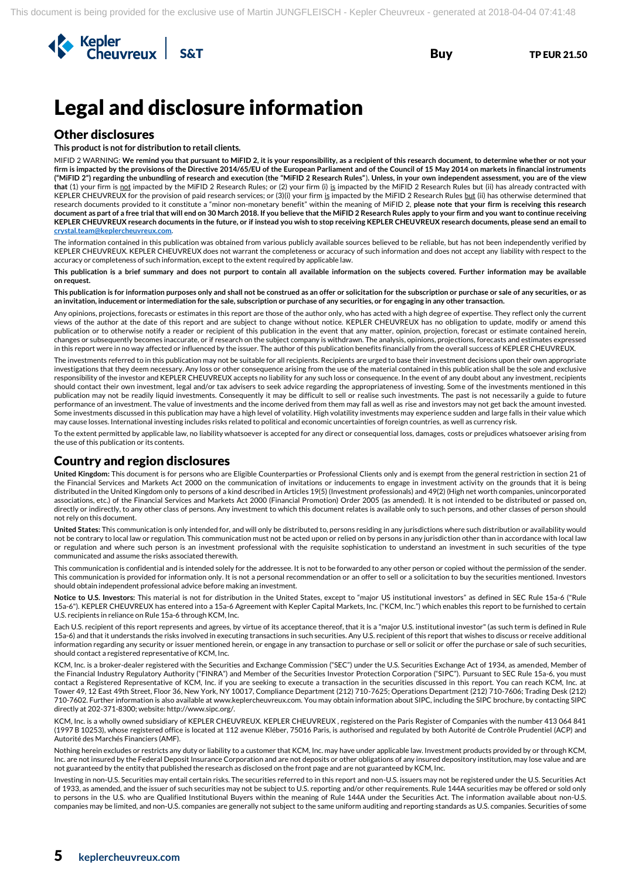

## Legal and disclosure information

## Other disclosures

**This product is not for distribution to retail clients.**

MIFID 2 WARNING: **We remind you that pursuant to MiFID 2, it is your responsibility, as a recipient of this research document, to determine whether or not your firm is impacted by the provisions of the Directive 2014/65/EU of the European Parliament and of the Council of 15 May 2014 on markets in financial instruments ("MiFID 2") regarding the unbundling of research and execution (the "MiFID 2 Research Rules"**)**. Unless, in your own independent assessment, you are of the view that** (1) your firm is not impacted by the MiFID 2 Research Rules; or (2) your firm (i) is impacted by the MiFID 2 Research Rules but (ii) has already contracted with KEPLER CHEUVREUX for the provision of paid research services; or (3)(i) your firm is impacted by the MiFID 2 Research Rules but (ii) has otherwise determined that research documents provided to it constitute a "minor non-monetary benefit" within the meaning of MiFID 2, **please note that your firm is receiving this research document as part of a free trial that will end on 30 March 2018. If you believe that the MiFID 2 Research Rules apply to your firm and you want to continue receiving KEPLER CHEUVREUX research documents in the future, or if instead you wish to stop receiving KEPLER CHEUVREUX research documents, please send an email to [crystal.team@keplercheuvreux.com.](mailto:crystal.team@keplercheuvreux.com)**

The information contained in this publication was obtained from various publicly available sources believed to be reliable, but has not been independently verified by KEPLER CHEUVREUX. KEPLER CHEUVREUX does not warrant the completeness or accuracy of such information and does not accept any liability with respect to the accuracy or completeness of such information, except to the extent required by applicable law.

**This publication is a brief summary and does not purport to contain all available information on the subjects covered. Further information may be available on request.**

**This publication is for information purposes only and shall not be construed as an offer or solicitation for the subscription or purchase or sale of any securities, or as an invitation, inducement or intermediation for the sale, subscription or purchase of any securities, or for engaging in any other transaction.**

Any opinions, projections, forecasts or estimates in this report are those of the author only, who has acted with a high degree of expertise. They reflect only the current views of the author at the date of this report and are subject to change without notice. KEPLER CHEUVREUX has no obligation to update, modify or amend this publication or to otherwise notify a reader or recipient of this publication in the event that any matter, opinion, projection, forecast or estimate contained herein, changes or subsequently becomes inaccurate, or if research on the subject company is withdrawn. The analysis, opinions, projections, forecasts and estimates expressed in this report were in no way affected or influenced by the issuer. The author of this publication benefits financially from the overall success of KEPLER CHEUVREUX.

The investments referred to in this publication may not be suitable for all recipients. Recipients are urged to base their investment decisions upon their own appropriate investigations that they deem necessary. Any loss or other consequence arising from the use of the material contained in this publication shall be the sole and exclusive responsibility of the investor and KEPLER CHEUVREUX accepts no liability for any such loss or consequence. In the event of any doubt about any investment, recipients should contact their own investment, legal and/or tax advisers to seek advice regarding the appropriateness of investing. Some of the investments mentioned in this publication may not be readily liquid investments. Consequently it may be difficult to sell or realise such investments. The past is not necessarily a guide to future performance of an investment. The value of investments and the income derived from them may fall as well as rise and investors may not get back the amount invested. Some investments discussed in this publication may have a high level of volatility. High volatility investments may experience sudden and large falls in their value which may cause losses. International investing includes risks related to political and economic uncertainties of foreign countries, as well as currency risk.

To the extent permitted by applicable law, no liability whatsoever is accepted for any direct or consequential loss, damages, costs or prejudices whatsoever arising from the use of this publication or its contents.

## Country and region disclosures

**United Kingdom:** This document is for persons who are Eligible Counterparties or Professional Clients only and is exempt from the general restriction in section 21 of the Financial Services and Markets Act 2000 on the communication of invitations or inducements to engage in investment activity on the grounds that it is being distributed in the United Kingdom only to persons of a kind described in Articles 19(5) (Investment professionals) and 49(2) (High net worth companies, unincorporated associations, etc.) of the Financial Services and Markets Act 2000 (Financial Promotion) Order 2005 (as amended). It is not intended to be distributed or passed on, directly or indirectly, to any other class of persons. Any investment to which this document relates is available only to such persons, and other classes of person should not rely on this document.

**United States:** This communication is only intended for, and will only be distributed to, persons residing in any jurisdictions where such distribution or availability would not be contrary to local law or regulation. This communication must not be acted upon or relied on by persons in any jurisdiction other than in accordance with local law or regulation and where such person is an investment professional with the requisite sophistication to understand an investment in such securities of the type communicated and assume the risks associated therewith.

This communication is confidential and is intended solely for the addressee. It is not to be forwarded to any other person or copied without the permission of the sender. This communication is provided for information only. It is not a personal recommendation or an offer to sell or a solicitation to buy the securities mentioned. Investors should obtain independent professional advice before making an investment.

**Notice to U.S. Investors:** This material is not for distribution in the United States, except to "major US institutional investors" as defined in SEC Rule 15a-6 ("Rule 15a-6"). KEPLER CHEUVREUX has entered into a 15a-6 Agreement with Kepler Capital Markets, Inc. ("KCM, Inc.") which enables this report to be furnished to certain U.S. recipients in reliance on Rule 15a-6 through KCM, Inc.

Each U.S. recipient of this report represents and agrees, by virtue of its acceptance thereof, that it is a "major U.S. institutional investor" (as such term is defined in Rule 15a-6) and that it understands the risks involved in executing transactions in such securities. Any U.S. recipient of this report that wishes to discuss or receive additional information regarding any security or issuer mentioned herein, or engage in any transaction to purchase or sell or solicit or offer the purchase or sale of such securities, should contact a registered representative of KCM, Inc.

KCM, Inc. is a broker-dealer registered with the Securities and Exchange Commission ("SEC") under the U.S. Securities Exchange Act of 1934, as amended, Member of the Financial Industry Regulatory Authority ("FINRA") and Member of the Securities Investor Protection Corporation ("SIPC"). Pursuant to SEC Rule 15a-6, you must contact a Registered Representative of KCM, Inc. if you are seeking to execute a transaction in the securities discussed in this report. You can reach KCM, Inc. at Tower 49, 12 East 49th Street, Floor 36, New York, NY 10017, Compliance Department (212) 710-7625; Operations Department (212) 710-7606; Trading Desk (212) 710-7602. Further information is also available at www.keplercheuvreux.com. You may obtain information about SIPC, including the SIPC brochure, by contacting SIPC directly at 202-371-8300; website: http://www.sipc.org/.

KCM, Inc. is a wholly owned subsidiary of KEPLER CHEUVREUX. KEPLER CHEUVREUX , registered on the Paris Register of Companies with the number 413 064 841 (1997 B 10253), whose registered office is located at 112 avenue Kléber, 75016 Paris, is authorised and regulated by both Autorité de Contrôle Prudentiel (ACP) and Autorité des Marchés Financiers (AMF).

Nothing herein excludes or restricts any duty or liability to a customer that KCM. Inc. may have under applicable law. Investment products provided by or through KCM. Inc. are not insured by the Federal Deposit Insurance Corporation and are not deposits or other obligations of any insured depository institution, may lose value and are not guaranteed by the entity that published the research as disclosed on the front page and are not guaranteed by KCM, Inc.

Investing in non-U.S. Securities may entail certain risks. The securities referred to in this report and non-U.S. issuers may not be registered under the U.S. Securities Act of 1933, as amended, and the issuer of such securities may not be subject to U.S. reporting and/or other requirements. Rule 144A securities may be offered or sold only to persons in the U.S. who are Qualified Institutional Buyers within the meaning of Rule 144A under the Securities Act. The information available about non-U.S. companies may be limited, and non-U.S. companies are generally not subject to the same uniform auditing and reporting standards as U.S. companies. Securities of some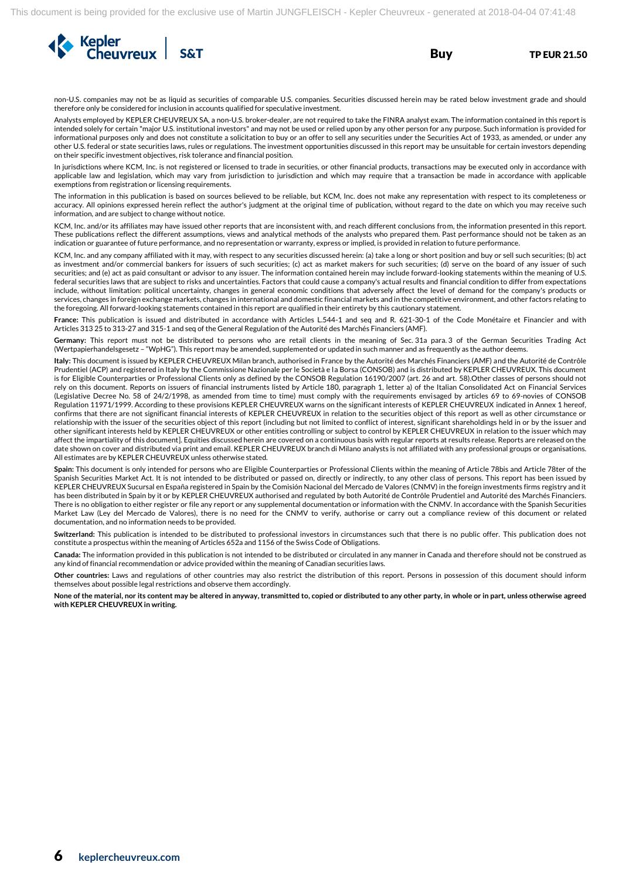

non-U.S. companies may not be as liquid as securities of comparable U.S. companies. Securities discussed herein may be rated below investment grade and should therefore only be considered for inclusion in accounts qualified for speculative investment.

Analysts employed by KEPLER CHEUVREUX SA, a non-U.S. broker-dealer, are not required to take the FINRA analyst exam. The information contained in this report is intended solely for certain "major U.S. institutional investors" and may not be used or relied upon by any other person for any purpose. Such information is provided for informational purposes only and does not constitute a solicitation to buy or an offer to sell any securities under the Securities Act of 1933, as amended, or under any other U.S. federal or state securities laws, rules or regulations. The investment opportunities discussed in this report may be unsuitable for certain investors depending on their specific investment objectives, risk tolerance and financial position.

In jurisdictions where KCM, Inc. is not registered or licensed to trade in securities, or other financial products, transactions may be executed only in accordance with applicable law and legislation, which may vary from jurisdiction to jurisdiction and which may require that a transaction be made in accordance with applicable exemptions from registration or licensing requirements.

The information in this publication is based on sources believed to be reliable, but KCM, Inc. does not make any representation with respect to its completeness or accuracy. All opinions expressed herein reflect the author's judgment at the original time of publication, without regard to the date on which you may receive such information, and are subject to change without notice.

KCM, Inc. and/or its affiliates may have issued other reports that are inconsistent with, and reach different conclusions from, the information presented in this report. These publications reflect the different assumptions, views and analytical methods of the analysts who prepared them. Past performance should not be taken as an indication or guarantee of future performance, and no representation or warranty, express or implied, is provided in relation to future performance.

KCM, Inc. and any company affiliated with it may, with respect to any securities discussed herein: (a) take a long or short position and buy or sell such securities; (b) act as investment and/or commercial bankers for issuers of such securities; (c) act as market makers for such securities; (d) serve on the board of any issuer of such securities; and (e) act as paid consultant or advisor to any issuer. The information contained herein may include forward-looking statements within the meaning of U.S. federal securities laws that are subject to risks and uncertainties. Factors that could cause a company's actual results and financial condition to differ from expectations include, without limitation: political uncertainty, changes in general economic conditions that adversely affect the level of demand for the company's products or services, changes in foreign exchange markets, changes in international and domestic financial markets and in the competitive environment, and other factors relating to the foregoing. All forward-looking statements contained in this report are qualified in their entirety by this cautionary statement.

**France:** This publication is issued and distributed in accordance with Articles L.544-1 and seq and R. 621-30-1 of the Code Monétaire et Financier and with Articles 313 25 to 313-27 and 315-1 and seq of the General Regulation of the Autorité des Marchés Financiers (AMF).

**Germany:** This report must not be distributed to persons who are retail clients in the meaning of Sec. 31a para. 3 of the German Securities Trading Act (Wertpapierhandelsgesetz – "WpHG"). This report may be amended, supplemented or updated in such manner and as frequently as the author deems.

**Italy:** This document is issued by KEPLER CHEUVREUX Milan branch, authorised in France by the Autorité des Marchés Financiers (AMF) and the Autorité de Contrôle Prudentiel (ACP) and registered in Italy by the Commissione Nazionale per le Società e la Borsa (CONSOB) and is distributed by KEPLER CHEUVREUX. This document is for Eligible Counterparties or Professional Clients only as defined by the CONSOB Regulation 16190/2007 (art. 26 and art. 58).Other classes of persons should not rely on this document. Reports on issuers of financial instruments listed by Article 180, paragraph 1, letter a) of the Italian Consolidated Act on Financial Services (Legislative Decree No. 58 of 24/2/1998, as amended from time to time) must comply with the requirements envisaged by articles 69 to 69-novies of CONSOB Regulation 11971/1999. According to these provisions KEPLER CHEUVREUX warns on the significant interests of KEPLER CHEUVREUX indicated in Annex 1 hereof, confirms that there are not significant financial interests of KEPLER CHEUVREUX in relation to the securities object of this report as well as other circumstance or relationship with the issuer of the securities object of this report (including but not limited to conflict of interest, significant shareholdings held in or by the issuer and other significant interests held by KEPLER CHEUVREUX or other entities controlling or subject to control by KEPLER CHEUVREUX in relation to the issuer which may affect the impartiality of this document]. Equities discussed herein are covered on a continuous basis with regular reports at results release. Reports are released on the date shown on cover and distributed via print and email. KEPLER CHEUVREUX branch di Milano analysts is not affiliated with any professional groups or organisations. All estimates are by KEPLER CHEUVREUX unless otherwise stated.

**Spain:** This document is only intended for persons who are Eligible Counterparties or Professional Clients within the meaning of Article 78bis and Article 78ter of the Spanish Securities Market Act. It is not intended to be distributed or passed on, directly or indirectly, to any other class of persons. This report has been issued by KEPLER CHEUVREUX Sucursal en España registered in Spain by the Comisión Nacional del Mercado de Valores (CNMV) in the foreign investments firms registry and it has been distributed in Spain by it or by KEPLER CHEUVREUX authorised and regulated by both Autorité de Contrôle Prudentiel and Autorité des Marchés Financiers. There is no obligation to either register or file any report or any supplemental documentation or information with the CNMV. In accordance with the Spanish Securities Market Law (Ley del Mercado de Valores), there is no need for the CNMV to verify, authorise or carry out a compliance review of this document or related documentation, and no information needs to be provided.

**Switzerland:** This publication is intended to be distributed to professional investors in circumstances such that there is no public offer. This publication does not constitute a prospectus within the meaning of Articles 652a and 1156 of the Swiss Code of Obligations.

**Canada:** The information provided in this publication is not intended to be distributed or circulated in any manner in Canada and therefore should not be construed as any kind of financial recommendation or advice provided within the meaning of Canadian securities laws.

**Other countries:** Laws and regulations of other countries may also restrict the distribution of this report. Persons in possession of this document should inform themselves about possible legal restrictions and observe them accordingly.

**None of the material, nor its content may be altered in anyway, transmitted to, copied or distributed to any other party, in whole or in part, unless otherwise agreed with KEPLER CHEUVREUX in writing.**